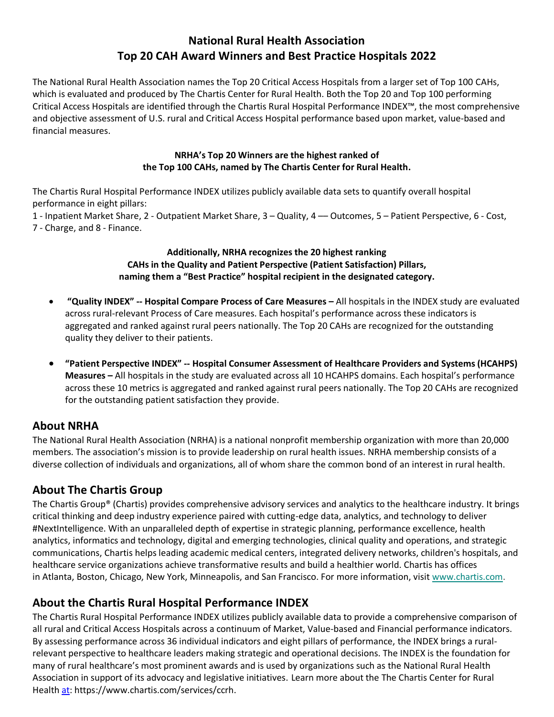# **National Rural Health Association Top 20 CAH Award Winners and Best Practice Hospitals 2022**

The National Rural Health Association names the Top 20 Critical Access Hospitals from a larger set of Top 100 CAHs, which is evaluated and produced by The Chartis Center for Rural Health. Both the Top 20 and Top 100 performing Critical Access Hospitals are identified through the Chartis Rural Hospital Performance INDEX™, the most comprehensive and objective assessment of U.S. rural and Critical Access Hospital performance based upon market, value-based and financial measures.

#### **NRHA's Top 20 Winners are the highest ranked of the Top 100 CAHs, named by The Chartis Center for Rural Health.**

The Chartis Rural Hospital Performance INDEX utilizes publicly available data sets to quantify overall hospital performance in eight pillars:

1 - Inpatient Market Share, 2 - Outpatient Market Share, 3 – Quality, 4 –– Outcomes, 5 – Patient Perspective, 6 - Cost, 7 - Charge, and 8 - Finance.

#### **Additionally, NRHA recognizes the 20 highest ranking CAHs in the Quality and Patient Perspective (Patient Satisfaction) Pillars, naming them a "Best Practice" hospital recipient in the designated category.**

- **"Quality INDEX" -- Hospital Compare Process of Care Measures –** All hospitals in the INDEX study are evaluated across rural-relevant Process of Care measures. Each hospital's performance across these indicators is aggregated and ranked against rural peers nationally. The Top 20 CAHs are recognized for the outstanding quality they deliver to their patients.
- **"Patient Perspective INDEX" -- Hospital Consumer Assessment of Healthcare Providers and Systems (HCAHPS) Measures –** All hospitals in the study are evaluated across all 10 HCAHPS domains. Each hospital's performance across these 10 metrics is aggregated and ranked against rural peers nationally. The Top 20 CAHs are recognized for the outstanding patient satisfaction they provide.

## **About NRHA**

The National Rural Health Association (NRHA) is a national nonprofit membership organization with more than 20,000 members. The association's mission is to provide leadership on rural health issues. NRHA membership consists of a diverse collection of individuals and organizations, all of whom share the common bond of an interest in rural health.

## **About The Chartis Group**

The Chartis Group® (Chartis) provides comprehensive advisory services and analytics to the healthcare industry. It brings critical thinking and deep industry experience paired with cutting-edge data, analytics, and technology to deliver #NextIntelligence. With an unparalleled depth of expertise in strategic planning, performance excellence, health analytics, informatics and technology, digital and emerging technologies, clinical quality and operations, and strategic communications, Chartis helps leading academic medical centers, integrated delivery networks, children's hospitals, and healthcare service organizations achieve transformative results and build a healthier world. Chartis has offices in Atlanta, Boston, Chicago, New York, Minneapolis, and San Francisco. For more information, visit [www.chartis.com.](https://c212.net/c/link/?t=0&l=en&o=3054635-1&h=2864512076&u=https%3A%2F%2Fc212.net%2Fc%2Flink%2F%3Ft%3D0%26l%3Den%26o%3D2978013-1%26h%3D3633069077%26u%3Dhttp%253A%252F%252Fwww.chartis.com%252F%26a%3Dwww.chartis.com&a=www.chartis.com)

# **About the Chartis Rural Hospital Performance INDEX**

The Chartis Rural Hospital Performance INDEX utilizes publicly available data to provide a comprehensive comparison of all rural and Critical Access Hospitals across a continuum of Market, Value-based and Financial performance indicators. By assessing performance across 36 individual indicators and eight pillars of performance, the INDEX brings a ruralrelevant perspective to healthcare leaders making strategic and operational decisions. The INDEX is the foundation for many of rural healthcare's most prominent awards and is used by organizations such as the National Rural Health Association in support of its advocacy and legislative initiatives. Learn more about the The Chartis Center for Rural Health [at:](file:///C:/Users/wbalfour/AppData/Local/Microsoft/Windows/INetCache/Content.Outlook/EVZ0B8FT/at) https://www.chartis.com/services/ccrh.